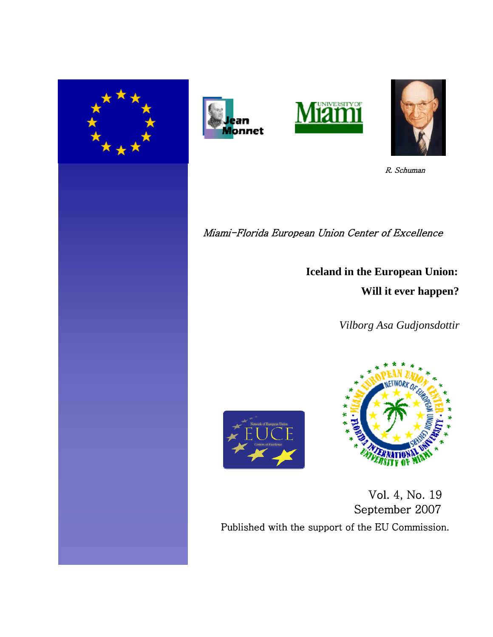







R. Schuman

Miami-Florida European Union Center of Excellence

**Iceland in the European Union: Will it ever happen?**

 *Vilborg Asa Gudjonsdottir*





 Vol. 4, No. 19 September 2007 Published with the support of the EU Commission.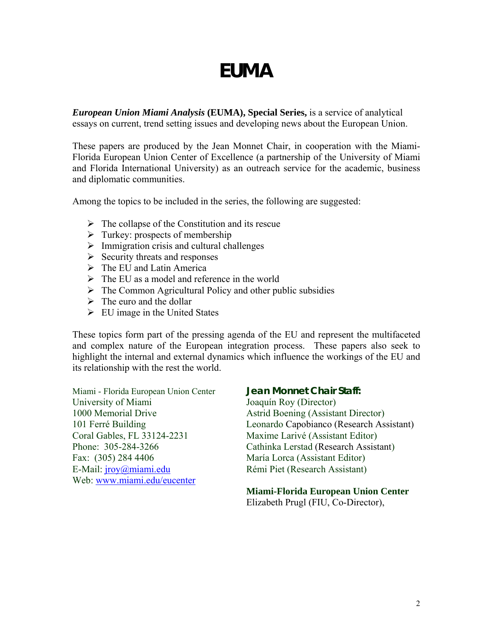# **EUMA**

*European Union Miami Analysis* **(EUMA), Special Series,** is a service of analytical essays on current, trend setting issues and developing news about the European Union.

These papers are produced by the Jean Monnet Chair, in cooperation with the Miami-Florida European Union Center of Excellence (a partnership of the University of Miami and Florida International University) as an outreach service for the academic, business and diplomatic communities.

Among the topics to be included in the series, the following are suggested:

- $\triangleright$  The collapse of the Constitution and its rescue
- $\triangleright$  Turkey: prospects of membership
- $\triangleright$  Immigration crisis and cultural challenges
- $\triangleright$  Security threats and responses
- $\triangleright$  The EU and Latin America
- $\triangleright$  The EU as a model and reference in the world
- $\triangleright$  The Common Agricultural Policy and other public subsidies
- $\triangleright$  The euro and the dollar
- $\triangleright$  EU image in the United States

These topics form part of the pressing agenda of the EU and represent the multifaceted and complex nature of the European integration process. These papers also seek to highlight the internal and external dynamics which influence the workings of the EU and its relationship with the rest the world.

Miami - Florida European Union Center **Jean Monnet Chair Staff:** University of Miami Joaquín Roy (Director) 1000 Memorial Drive Astrid Boening (Assistant Director) Coral Gables, FL 33124-2231 Maxime Larivé (Assistant Editor) Fax: (305) 284 4406 María Lorca (Assistant Editor) E-Mail: [jroy@miami.edu](mailto:jroy@miami.edu) Rémi Piet (Research Assistant) Web: [www.miami.edu/eucenter](http://www.miami.edu/eucenter)

101 Ferré Building Leonardo Capobianco (Research Assistant) Phone: 305-284-3266 Cathinka Lerstad (Research Assistant)

# **Miami-Florida European Union Center**

Elizabeth Prugl (FIU, Co-Director),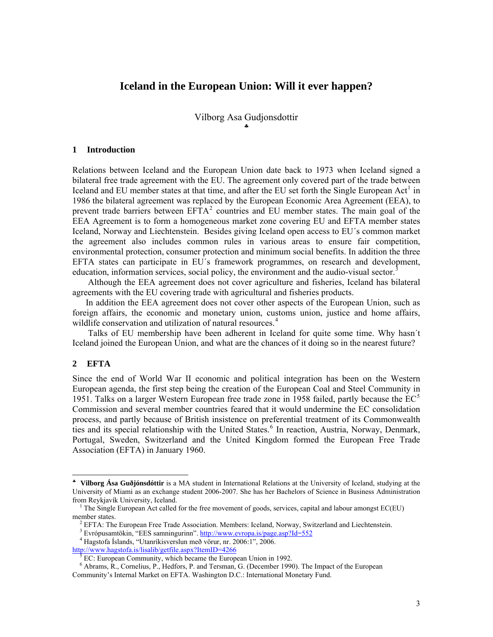# **Iceland in the European Union: Will it ever happen?**

Vilborg Asa Gudjonsdottir [♣](#page-2-0)

#### **1 Introduction**

Relations between Iceland and the European Union date back to 1973 when Iceland signed a bilateral free trade agreement with the EU. The agreement only covered part of the trade between Iceland and EU member states at that time, and after the EU set forth the Single European  $Act<sup>1</sup>$  $Act<sup>1</sup>$  $Act<sup>1</sup>$  in 1986 the bilateral agreement was replaced by the European Economic Area Agreement (EEA), to prevent trade barriers between  $EFTA<sup>2</sup>$  $EFTA<sup>2</sup>$  $EFTA<sup>2</sup>$  countries and EU member states. The main goal of the EEA Agreement is to form a homogeneous market zone covering EU and EFTA member states Iceland, Norway and Liechtenstein. Besides giving Iceland open access to EU´s common market the agreement also includes common rules in various areas to ensure fair competition, environmental protection, consumer protection and minimum social benefits. In addition the three EFTA states can participate in EU´s framework programmes, on research and development, education, information services, social policy, the environment and the audio-visual sector.<sup>[3](#page-2-3)</sup>

 Although the EEA agreement does not cover agriculture and fisheries, Iceland has bilateral agreements with the EU covering trade with agricultural and fisheries products.

 In addition the EEA agreement does not cover other aspects of the European Union, such as foreign affairs, the economic and monetary union, customs union, justice and home affairs, wildlife conservation and utilization of natural resources.<sup>[4](#page-2-4)</sup>

 Talks of EU membership have been adherent in Iceland for quite some time. Why hasn´t Iceland joined the European Union, and what are the chances of it doing so in the nearest future?

### **2 EFTA**

 $\overline{a}$ 

Since the end of World War II economic and political integration has been on the Western European agenda, the first step being the creation of the European Coal and Steel Community in 19[5](#page-2-5)1. Talks on a larger Western European free trade zone in 1958 failed, partly because the  $EC<sup>5</sup>$ Commission and several member countries feared that it would undermine the EC consolidation process, and partly because of British insistence on preferential treatment of its Commonwealth ties and its special relationship with the United States.<sup>[6](#page-2-6)</sup> In reaction, Austria, Norway, Denmark, Portugal, Sweden, Switzerland and the United Kingdom formed the European Free Trade Association (EFTA) in January 1960.

<span id="page-2-0"></span><sup>♣</sup> **Vilborg Ása Guðjónsdóttir** is a MA student in International Relations at the University of Iceland, studying at the University of Miami as an exchange student 2006-2007. She has her Bachelors of Science in Business Administration from Reykjavík University, Iceland.

<span id="page-2-1"></span><sup>&</sup>lt;sup>1</sup> The Single European Act called for the free movement of goods, services, capital and labour amongst EC(EU) member states.

<span id="page-2-2"></span><sup>&</sup>lt;sup>2</sup> EFTA: The European Free Trade Association. Members: Iceland, Norway, Switzerland and Liechtenstein.

<sup>&</sup>lt;sup>3</sup> Evrópusamtökin, "EES samningurinn".<http://www.evropa.is/page.asp?Id=552>

<span id="page-2-4"></span><span id="page-2-3"></span><sup>4</sup> Hagstofa Íslands, "Utanríkisverslun með vörur, nr. 2006:1", 2006. <http://www.hagstofa.is/lisalib/getfile.aspx?ItemID=4266>

<sup>5</sup> EC: European Community, which became the European Union in 1992.

<span id="page-2-6"></span><span id="page-2-5"></span><sup>&</sup>lt;sup>6</sup> Abrams, R., Cornelius, P., Hedfors, P. and Tersman, G. (December 1990). The Impact of the European Community's Internal Market on EFTA. Washington D.C.: International Monetary Fund.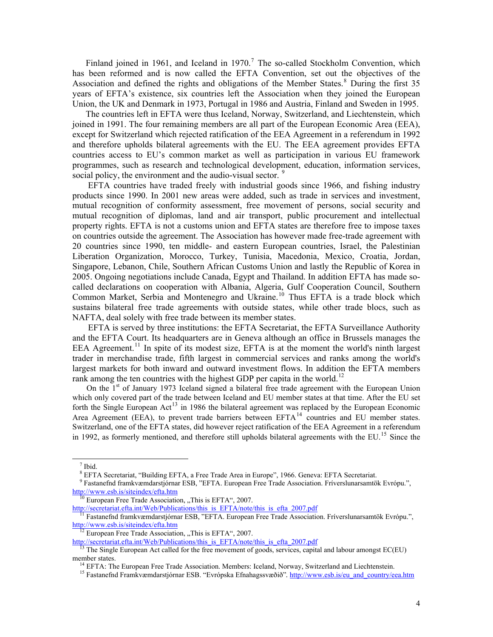Finland joined in 1961, and Iceland in  $1970$  $1970$  $1970$ .<sup>7</sup> The so-called Stockholm Convention, which has been reformed and is now called the EFTA Convention, set out the objectives of the Association and defined the rights and obligations of the Member States.<sup>[8](#page-3-1)</sup> During the first 35 years of EFTA's existence, six countries left the Association when they joined the European Union, the UK and Denmark in 1973, Portugal in 1986 and Austria, Finland and Sweden in 1995.

 The countries left in EFTA were thus Iceland, Norway, Switzerland, and Liechtenstein, which joined in 1991. The four remaining members are all part of the European Economic Area (EEA), except for Switzerland which rejected ratification of the EEA Agreement in a referendum in 1992 and therefore upholds bilateral agreements with the EU. The EEA agreement provides EFTA countries access to EU's common market as well as participation in various EU framework programmes, such as research and technological development, education, information services, social policy, the environment and the audio-visual sector.<sup>[9](#page-3-2)</sup>

 EFTA countries have traded freely with industrial goods since 1966, and fishing industry products since 1990. In 2001 new areas were added, such as trade in services and investment, mutual recognition of conformity assessment, free movement of persons, social security and mutual recognition of diplomas, land and air transport, public procurement and intellectual property rights. EFTA is not a customs union and EFTA states are therefore free to impose taxes on countries outside the agreement. The Association has however made free-trade agreement with 20 countries since 1990, ten middle- and eastern European countries, Israel, the Palestinian Liberation Organization, Morocco, Turkey, Tunisia, Macedonia, Mexico, Croatia, Jordan, Singapore, Lebanon, Chile, Southern African Customs Union and lastly the Republic of Korea in 2005. Ongoing negotiations include Canada, Egypt and Thailand. In addition EFTA has made socalled declarations on cooperation with Albania, Algeria, Gulf Cooperation Council, Southern Common Market, Serbia and Montenegro and Ukraine.<sup>[10](#page-3-3)</sup> Thus EFTA is a trade block which sustains bilateral free trade agreements with outside states, while other trade blocs, such as NAFTA, deal solely with free trade between its member states.

 EFTA is served by three institutions: the EFTA Secretariat, the EFTA Surveillance Authority and the EFTA Court. Its headquarters are in Geneva although an office in Brussels manages the EEA Agreement.<sup>[11](#page-3-4)</sup> In spite of its modest size, EFTA is at the moment the world's ninth largest trader in merchandise trade, fifth largest in commercial services and ranks among the world's largest markets for both inward and outward investment flows. In addition the EFTA members rank among the ten countries with the highest GDP per capita in the world.<sup>[12](#page-3-5)</sup>

On the 1<sup>st</sup> of January 1973 Iceland signed a bilateral free trade agreement with the European Union which only covered part of the trade between Iceland and EU member states at that time. After the EU set forth the Single European Act<sup>[13](#page-3-6)</sup> in 1986 the bilateral agreement was replaced by the European Economic Area Agreement (EEA), to prevent trade barriers between  $EFTA^{14}$  $EFTA^{14}$  $EFTA^{14}$  countries and EU member states. Switzerland, one of the EFTA states, did however reject ratification of the EEA Agreement in a referendum in 1992, as formerly mentioned, and therefore still upholds bilateral agreements with the EU.<sup>[15](#page-3-8)</sup> Since the

1

<span id="page-3-0"></span><sup>7</sup> Ibid.

<sup>8</sup> EFTA Secretariat, "Building EFTA, a Free Trade Area in Europe", 1966. Geneva: EFTA Secretariat.

<span id="page-3-2"></span><span id="page-3-1"></span><sup>9</sup> Fastanefnd framkvæmdarstjórnar ESB, "EFTA. European Free Trade Association. Fríverslunarsamtök Evrópu.", <http://www.esb.is/siteindex/efta.htm>

 $10$  European Free Trade Association, "This is EFTA", 2007.

<span id="page-3-3"></span>[http://secretariat.efta.int/Web/Publications/this\\_is\\_EFTA/note/this\\_is\\_efta\\_2007.pdf](http://secretariat.efta.int/Web/Publications/this_is_EFTA/note/this_is_efta_2007.pdf)

<span id="page-3-4"></span> $<sup>11</sup>$  Fastanefnd framkvæmdarstjórnar ESB, "EFTA. European Free Trade Association. Fríverslunarsamtök Evrópu.",</sup> <http://www.esb.is/siteindex/efta.htm>

<span id="page-3-5"></span> $<sup>12</sup>$  European Free Trade Association, "This is EFTA", 2007.</sup>

[http://secretariat.efta.int/Web/Publications/this\\_is\\_EFTA/note/this\\_is\\_efta\\_2007.pdf](http://secretariat.efta.int/Web/Publications/this_is_EFTA/note/this_is_efta_2007.pdf)

<span id="page-3-8"></span><span id="page-3-7"></span><span id="page-3-6"></span><sup>&</sup>lt;sup>13</sup> The Single European Act called for the free movement of goods, services, capital and labour amongst EC(EU) member states.

<sup>&</sup>lt;sup>14</sup> EFTA: The European Free Trade Association. Members: Iceland, Norway, Switzerland and Liechtenstein.

15 Fastanefnd Framkvæmdarstjórnar ESB. "Evrópska Efnahagssvæðið"*.* [http://www.esb.is/eu\\_and\\_country/eea.htm](http://www.esb.is/eu_and_country/eea.htm)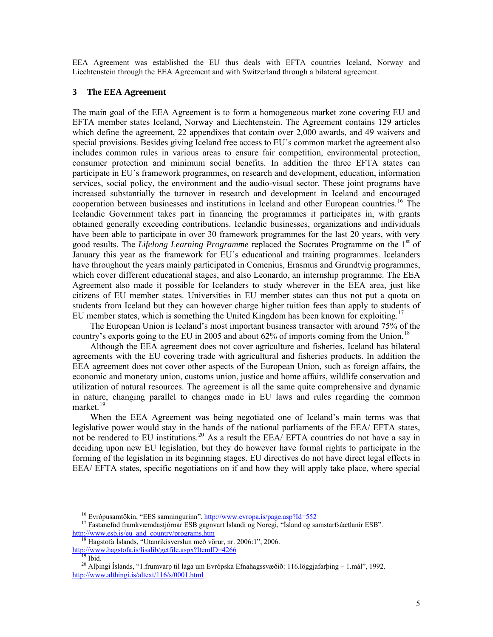EEA Agreement was established the EU thus deals with EFTA countries Iceland, Norway and Liechtenstein through the EEA Agreement and with Switzerland through a bilateral agreement.

#### **3 The EEA Agreement**

The main goal of the EEA Agreement is to form a homogeneous market zone covering EU and EFTA member states Iceland, Norway and Liechtenstein. The Agreement contains 129 articles which define the agreement, 22 appendixes that contain over 2,000 awards, and 49 waivers and special provisions. Besides giving Iceland free access to EU´s common market the agreement also includes common rules in various areas to ensure fair competition, environmental protection, consumer protection and minimum social benefits. In addition the three EFTA states can participate in EU´s framework programmes, on research and development, education, information services, social policy, the environment and the audio-visual sector. These joint programs have increased substantially the turnover in research and development in Iceland and encouraged cooperation between businesses and institutions in Iceland and other European countries.<sup>[16](#page-4-0)</sup> The Icelandic Government takes part in financing the programmes it participates in, with grants obtained generally exceeding contributions. Icelandic businesses, organizations and individuals have been able to participate in over 30 framework programmes for the last 20 years, with very good results. The *Lifelong Learning Programme* replaced the Socrates Programme on the 1st of January this year as the framework for EU´s educational and training programmes. Icelanders have throughout the years mainly participated in Comenius, Erasmus and Grundtvig programmes, which cover different educational stages, and also Leonardo, an internship programme. The EEA Agreement also made it possible for Icelanders to study wherever in the EEA area, just like citizens of EU member states. Universities in EU member states can thus not put a quota on students from Iceland but they can however charge higher tuition fees than apply to students of EU member states, which is something the United Kingdom has been known for exploiting.<sup>[17](#page-4-1)</sup>

 The European Union is Iceland's most important business transactor with around 75% of the country's exports going to the EU in 2005 and about  $62\%$  of imports coming from the Union.<sup>[18](#page-4-2)</sup>

 Although the EEA agreement does not cover agriculture and fisheries, Iceland has bilateral agreements with the EU covering trade with agricultural and fisheries products. In addition the EEA agreement does not cover other aspects of the European Union, such as foreign affairs, the economic and monetary union, customs union, justice and home affairs, wildlife conservation and utilization of natural resources. The agreement is all the same quite comprehensive and dynamic in nature, changing parallel to changes made in EU laws and rules regarding the common market.<sup>[19](#page-4-3)</sup>

 When the EEA Agreement was being negotiated one of Iceland's main terms was that legislative power would stay in the hands of the national parliaments of the EEA/ EFTA states, not be rendered to EU institutions.<sup>[20](#page-4-4)</sup> As a result the EEA/ EFTA countries do not have a say in deciding upon new EU legislation, but they do however have formal rights to participate in the forming of the legislation in its beginning stages. EU directives do not have direct legal effects in EEA/ EFTA states, specific negotiations on if and how they will apply take place, where special

 $16$  Evrópusamtökin, "EES samningurinn". <http://www.evropa.is/page.asp?Id=552>

<span id="page-4-1"></span><span id="page-4-0"></span><sup>&</sup>lt;sup>17</sup> Fastanefnd framkvæmdastjórnar ESB gagnvart Íslandi og Noregi, "Ísland og samstarfsáætlanir ESB". [http://www.esb.is/eu\\_and\\_country/programs.htm](http://www.esb.is/eu_and_country/programs.htm) 

<span id="page-4-2"></span><sup>&</sup>lt;sup>18</sup> Hagstofa Íslands, "Utanríkisverslun með vörur, nr. 2006:1", 2006. <http://www.hagstofa.is/lisalib/getfile.aspx?ItemID=4266>

 $19$  Ibid.

<span id="page-4-4"></span><span id="page-4-3"></span>20 Alþingi Íslands, "1.frumvarp til laga um Evrópska Efnahagssvæðið: 116.löggjafarþing – 1.mál", 1992. <http://www.althingi.is/altext/116/s/0001.html>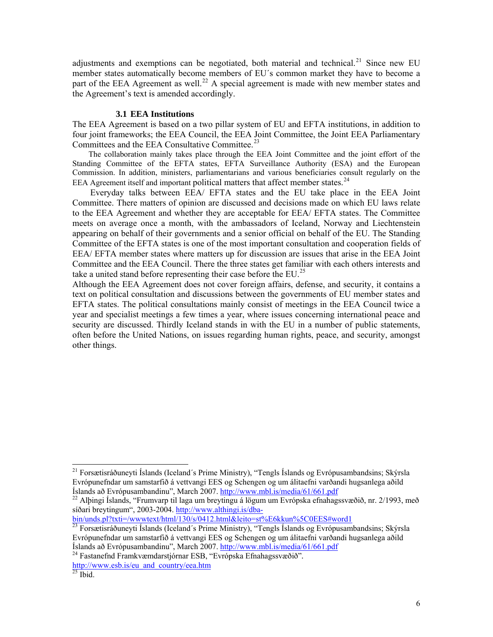adjustments and exemptions can be negotiated, both material and technical.<sup>[21](#page-5-0)</sup> Since new EU member states automatically become members of EU´s common market they have to become a part of the EEA Agreement as well.<sup>[22](#page-5-1)</sup> A special agreement is made with new member states and the Agreement's text is amended accordingly.

#### **3.1 EEA Institutions**

The EEA Agreement is based on a two pillar system of EU and EFTA institutions, in addition to four joint frameworks; the EEA Council, the EEA Joint Committee, the Joint EEA Parliamentary Committees and the EEA Consultative Committee.<sup>[23](#page-5-2)</sup>

 The collaboration mainly takes place through the EEA Joint Committee and the joint effort of the Standing Committee of the EFTA states, EFTA Surveillance Authority (ESA) and the European Commission. In addition, ministers, parliamentarians and various beneficiaries consult regularly on the EEA Agreement itself and important political matters that affect member states.<sup>[24](#page-5-3)</sup>

 Everyday talks between EEA/ EFTA states and the EU take place in the EEA Joint Committee. There matters of opinion are discussed and decisions made on which EU laws relate to the EEA Agreement and whether they are acceptable for EEA/ EFTA states. The Committee meets on average once a month, with the ambassadors of Iceland, Norway and Liechtenstein appearing on behalf of their governments and a senior official on behalf of the EU. The Standing Committee of the EFTA states is one of the most important consultation and cooperation fields of EEA/ EFTA member states where matters up for discussion are issues that arise in the EEA Joint Committee and the EEA Council. There the three states get familiar with each others interests and take a united stand before representing their case before the EU.<sup>[25](#page-5-4)</sup>

Although the EEA Agreement does not cover foreign affairs, defense, and security, it contains a text on political consultation and discussions between the governments of EU member states and EFTA states. The political consultations mainly consist of meetings in the EEA Council twice a year and specialist meetings a few times a year, where issues concerning international peace and security are discussed. Thirdly Iceland stands in with the EU in a number of public statements, often before the United Nations, on issues regarding human rights, peace, and security, amongst other things.

<span id="page-5-2"></span>bin/unds.pl?txti=/wwwtext/html/130/s/0412.html&leito=st%E6kkun%5C0EES#word1<br><sup>23</sup> Forsætisráðuneyti Íslands (Iceland´s Prime Ministry), "Tengls Íslands og Evrópusambandsins; Skýrsla Evrópunefndar um samstarfið á vettvangi EES og Schengen og um álitaefni varðandi hugsanlega aðild<br>Íslands að Evrópusambandinu", March 2007. http://www.mbl.is/media/61/661.pdf

<span id="page-5-3"></span><sup>24</sup> Fastanefnd Framkvæmdarstjórnar ESB, "Evrópska Efnahagssvæðið". [http://www.esb.is/eu\\_and\\_country/eea.htm](http://www.esb.is/eu_and_country/eea.htm)

<span id="page-5-0"></span><sup>&</sup>lt;sup>21</sup> Forsætisráðuneyti Íslands (Iceland´s Prime Ministry), "Tengls Íslands og Evrópusambandsins; Skýrsla Evrópunefndar um samstarfið á vettvangi EES og Schengen og um álitaefni varðandi hugsanlega aðild<br>Íslands að Evrópusambandinu", March 2007. http://www.mbl.is/media/61/661.pdf

<span id="page-5-1"></span><sup>&</sup>lt;sup>22</sup> Alþingi Íslands, "Frumvarp til laga um breytingu á lögum um Evrópska efnahagssvæðið, nr. 2/1993, með síðari breytingum", 2003-2004. [http://www.althingi.is/dba-](http://www.althingi.is/dba-bin/unds.pl?txti=/wwwtext/html/130/s/0412.html&leito=st%E6kkun%5C0EES#word1)

<span id="page-5-4"></span> $^{25}$  Ibid.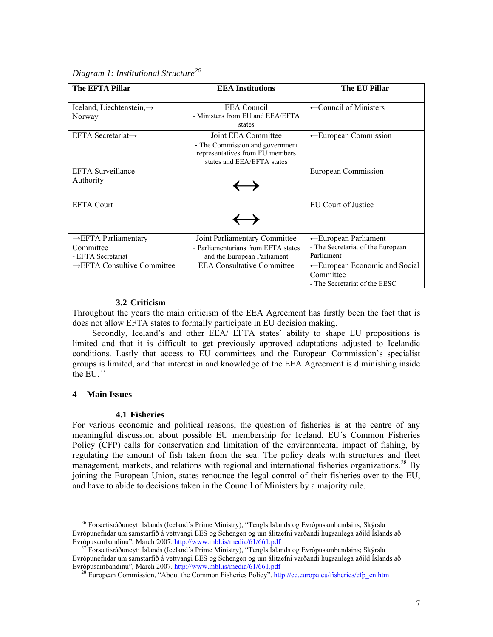|  | Diagram 1: Institutional Structure <sup>26</sup> |  |
|--|--------------------------------------------------|--|
|  |                                                  |  |

| The EFTA Pillar                                                     | <b>EEA</b> Institutions                                                                                                 | The EU Pillar                                                                           |
|---------------------------------------------------------------------|-------------------------------------------------------------------------------------------------------------------------|-----------------------------------------------------------------------------------------|
| Iceland, Liechtenstein, $\rightarrow$<br>Norway                     | <b>EEA</b> Council<br>- Ministers from EU and EEA/EFTA<br>states                                                        | $\leftarrow$ Council of Ministers                                                       |
| EFTA Secretariat $\rightarrow$                                      | Joint EEA Committee<br>- The Commission and government<br>representatives from EU members<br>states and EEA/EFTA states | $\leftarrow$ European Commission                                                        |
| <b>EFTA</b> Surveillance<br>Authority                               | $\hookrightarrow$                                                                                                       | European Commission                                                                     |
| <b>EFTA Court</b>                                                   |                                                                                                                         | EU Court of Justice                                                                     |
| $\rightarrow$ EFTA Parliamentary<br>Committee<br>- EFTA Secretariat | Joint Parliamentary Committee<br>- Parliamentarians from EFTA states<br>and the European Parliament                     | ← European Parliament<br>- The Secretariat of the European<br>Parliament                |
| $\rightarrow$ EFTA Consultive Committee                             | <b>EEA Consultative Committee</b>                                                                                       | $\leftarrow$ European Economic and Social<br>Committee<br>- The Secretariat of the EESC |

#### **3.2 Criticism**

Throughout the years the main criticism of the EEA Agreement has firstly been the fact that is does not allow EFTA states to formally participate in EU decision making.

 Secondly, Iceland's and other EEA/ EFTA states´ ability to shape EU propositions is limited and that it is difficult to get previously approved adaptations adjusted to Icelandic conditions. Lastly that access to EU committees and the European Commission's specialist groups is limited, and that interest in and knowledge of the EEA Agreement is diminishing inside the  $EU<sub>1</sub><sup>27</sup>$  $EU<sub>1</sub><sup>27</sup>$  $EU<sub>1</sub><sup>27</sup>$ 

#### **4 Main Issues**

 $\overline{a}$ 

#### **4.1 Fisheries**

For various economic and political reasons, the question of fisheries is at the centre of any meaningful discussion about possible EU membership for Iceland. EU´s Common Fisheries Policy (CFP) calls for conservation and limitation of the environmental impact of fishing, by regulating the amount of fish taken from the sea. The policy deals with structures and fleet management, markets, and relations with regional and international fisheries organizations.<sup>[28](#page-6-2)</sup> By joining the European Union, states renounce the legal control of their fisheries over to the EU, and have to abide to decisions taken in the Council of Ministers by a majority rule.

<span id="page-6-0"></span>26 Forsætisráðuneyti Íslands (Iceland´s Prime Ministry), "Tengls Íslands og Evrópusambandsins; Skýrsla Evrópunefndar um samstarfið á vettvangi EES og Schengen og um álitaefni varðandi hugsanlega aðild Íslands að Evrópusambandinu", March 2007. <http://www.mbl.is/media/61/661.pdf>

<span id="page-6-2"></span><span id="page-6-1"></span><sup>&</sup>lt;sup>27</sup> Forsætisráðuneyti Íslands (Iceland´s Prime Ministry), "Tengls Íslands og Evrópusambandsins; Skýrsla Evrópunefndar um samstarfið á vettvangi EES og Schengen og um álitaefni varðandi hugsanlega aðild Íslands að Evrópusambandinu", March 2007. <http://www.mbl.is/media/61/661.pdf>

<sup>&</sup>lt;sup>28</sup> European Commission, "About the Common Fisheries Policy". http://ec.europa.eu/fisheries/cfp\_en.htm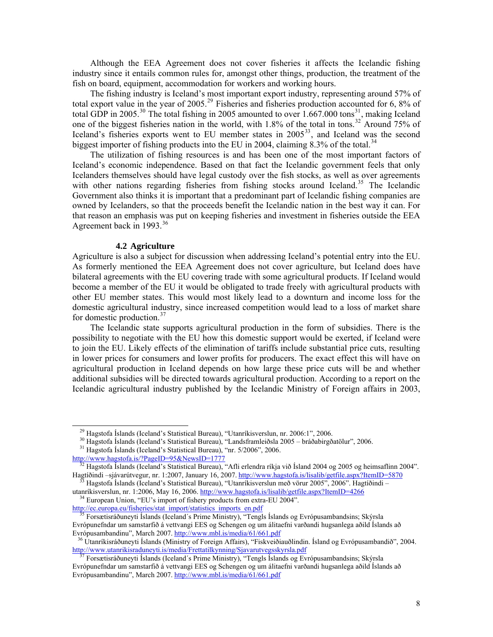Although the EEA Agreement does not cover fisheries it affects the Icelandic fishing industry since it entails common rules for, amongst other things, production, the treatment of the fish on board, equipment, accommodation for workers and working hours.

 The fishing industry is Iceland's most important export industry, representing around 57% of total export value in the year of 2005.<sup>[29](#page-7-0)</sup> Fisheries and fisheries production accounted for 6, 8% of total GDP in 2005.<sup>[30](#page-7-1)</sup> The total fishing in 2005 amounted to over 1.667.000 tons<sup>[31](#page-7-2)</sup>, making Iceland one of the biggest fisheries nation in the world, with 1.8% of the total in tons.<sup>[32](#page-7-3)</sup> Around 75% of Iceland's fisheries exports went to EU member states in 2005<sup>[33](#page-7-4)</sup>, and Iceland was the second biggest importer of fishing products into the EU in 2004, claiming 8.3% of the total.<sup>[34](#page-7-5)</sup>

 The utilization of fishing resources is and has been one of the most important factors of Iceland's economic independence. Based on that fact the Icelandic government feels that only Icelanders themselves should have legal custody over the fish stocks, as well as over agreements with other nations regarding fisheries from fishing stocks around Iceland.<sup>[35](#page-7-6)</sup> The Icelandic Government also thinks it is important that a predominant part of Icelandic fishing companies are owned by Icelanders, so that the proceeds benefit the Icelandic nation in the best way it can. For that reason an emphasis was put on keeping fisheries and investment in fisheries outside the EEA Agreement back in 1993.<sup>[36](#page-7-7)</sup>

#### **4.2 Agriculture**

Agriculture is also a subject for discussion when addressing Iceland's potential entry into the EU. As formerly mentioned the EEA Agreement does not cover agriculture, but Iceland does have bilateral agreements with the EU covering trade with some agricultural products. If Iceland would become a member of the EU it would be obligated to trade freely with agricultural products with other EU member states. This would most likely lead to a downturn and income loss for the domestic agricultural industry, since increased competition would lead to a loss of market share for domestic production.<sup>[37](#page-7-8)</sup>

 The Icelandic state supports agricultural production in the form of subsidies. There is the possibility to negotiate with the EU how this domestic support would be exerted, if Iceland were to join the EU. Likely effects of the elimination of tariffs include substantial price cuts, resulting in lower prices for consumers and lower profits for producers. The exact effect this will have on agricultural production in Iceland depends on how large these price cuts will be and whether additional subsidies will be directed towards agricultural production. According to a report on the Icelandic agricultural industry published by the Icelandic Ministry of Foreign affairs in 2003,

29 Hagstofa Íslands (Iceland's Statistical Bureau), "Utanríkisverslun, nr. 2006:1", 2006.

30 Hagstofa Íslands (Iceland's Statistical Bureau), "Landsframleiðsla 2005 – bráðabirgðatölur", 2006.

<span id="page-7-1"></span><span id="page-7-0"></span>31 Hagstofa Íslands (Iceland's Statistical Bureau), "nr. 5/2006", 2006.

<span id="page-7-2"></span><http://www.hagstofa.is/?PageID=95&NewsID=1777>

<span id="page-7-3"></span><sup>&</sup>lt;sup>32</sup> Hagstofa Íslands (Iceland's Statistical Bureau), "Afli erlendra ríkja við Ísland 2004 og 2005 og heimsaflinn 2004". Hagtíðindi –sjávarútvegur, nr. 1:2007, January 16, 2007.<http://www.hagstofa.is/lisalib/getfile.aspx?ItemID=5870>

<span id="page-7-4"></span>33 Hagstofa Íslands (Iceland's Statistical Bureau), "Utanríkisverslun með vörur 2005", 2006". Hagtíðindi – utanríkisverslun, nr. 1:2006, May 16, 2006. <http://www.hagstofa.is/lisalib/getfile.aspx?ItemID=4266>

<span id="page-7-5"></span><sup>&</sup>lt;sup>34</sup> European Union, "EU's import of fishery products from extra-EU 2004". [http://ec.europa.eu/fisheries/stat\\_import/statistics\\_imports\\_en.pdf](http://ec.europa.eu/fisheries/stat_import/statistics_imports_en.pdf)

<span id="page-7-6"></span>35 Forsætisráðuneyti Íslands (Iceland´s Prime Ministry), "Tengls Íslands og Evrópusambandsins; Skýrsla Evrópunefndar um samstarfið á vettvangi EES og Schengen og um álitaefni varðandi hugsanlega aðild Íslands að Evrópusambandinu", March 2007. <http://www.mbl.is/media/61/661.pdf>

<span id="page-7-7"></span>36 Utanríkisráðuneyti Íslands (Ministry of Foreign Affairs), "Fiskveiðiauðlindin. Ísland og Evrópusambandið", 2004. <http://www.utanrikisraduneyti.is/media/Frettatilkynning/Sjavarutvegsskyrsla.pdf>

<span id="page-7-8"></span>37 Forsætisráðuneyti Íslands (Iceland´s Prime Ministry), "Tengls Íslands og Evrópusambandsins; Skýrsla Evrópunefndar um samstarfið á vettvangi EES og Schengen og um álitaefni varðandi hugsanlega aðild Íslands að Evrópusambandinu", March 2007. <http://www.mbl.is/media/61/661.pdf>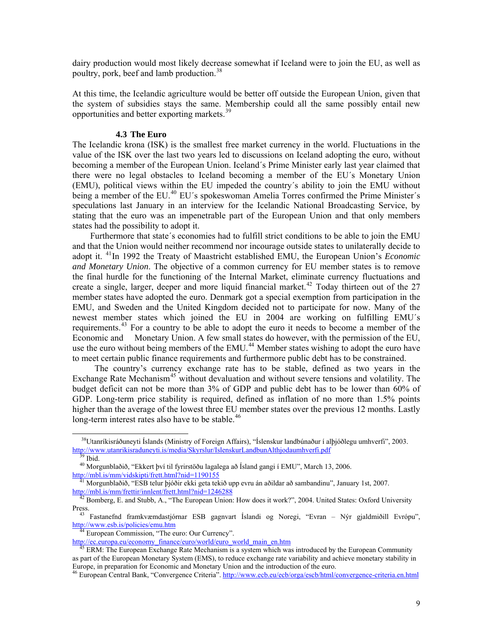dairy production would most likely decrease somewhat if Iceland were to join the EU, as well as poultry, pork, beef and lamb production.<sup>[38](#page-8-0)</sup>

At this time, the Icelandic agriculture would be better off outside the European Union, given that the system of subsidies stays the same. Membership could all the same possibly entail new opportunities and better exporting markets.[39](#page-8-1)

#### **4.3 The Euro**

The Icelandic krona (ISK) is the smallest free market currency in the world. Fluctuations in the value of the ISK over the last two years led to discussions on Iceland adopting the euro, without becoming a member of the European Union. Iceland´s Prime Minister early last year claimed that there were no legal obstacles to Iceland becoming a member of the EU´s Monetary Union (EMU), political views within the EU impeded the country´s ability to join the EMU without being a member of the EU.<sup>[40](#page-8-2)</sup> EU's spokeswoman Amelia Torres confirmed the Prime Minister's speculations last January in an interview for the Icelandic National Broadcasting Service, by stating that the euro was an impenetrable part of the European Union and that only members states had the possibility to adopt it.

 Furthermore that state´s economies had to fulfill strict conditions to be able to join the EMU and that the Union would neither recommend nor incourage outside states to unilaterally decide to adopt it. [41](#page-8-3)In 1992 the Treaty of Maastricht established EMU, the European Union's *Economic and Monetary Union*. The objective of a common currency for EU member states is to remove the final hurdle for the functioning of the Internal Market, eliminate currency fluctuations and create a single, larger, deeper and more liquid financial market.<sup>[42](#page-8-4)</sup> Today thirteen out of the  $27$ member states have adopted the euro. Denmark got a special exemption from participation in the EMU, and Sweden and the United Kingdom decided not to participate for now. Many of the newest member states which joined the EU in 2004 are working on fulfilling EMU´s requirements.<sup>[43](#page-8-5)</sup> For a country to be able to adopt the euro it needs to become a member of the Economic and Monetary Union. A few small states do however, with the permission of the EU, use the euro without being members of the EMU.<sup>[44](#page-8-6)</sup> Member states wishing to adopt the euro have to meet certain public finance requirements and furthermore public debt has to be constrained.

 The country's currency exchange rate has to be stable, defined as two years in the Exchange Rate Mechanism<sup>[45](#page-8-7)</sup> without devaluation and without severe tensions and volatility. The budget deficit can not be more than 3% of GDP and public debt has to be lower than 60% of GDP. Long-term price stability is required, defined as inflation of no more than 1.5% points higher than the average of the lowest three EU member states over the previous 12 months. Lastly long-term interest rates also have to be stable.<sup>[46](#page-8-8)</sup>

 $\overline{a}$ 

<sup>44</sup> European Commission, "The euro: Our Currency".

<span id="page-8-0"></span>38Utanríkisráðuneyti Íslands (Ministry of Foreign Affairs), "Íslenskur landbúnaður í alþjóðlegu umhverfi", 2003. <http://www.utanrikisraduneyti.is/media/Skyrslur/IslenskurLandbunAlthjodaumhverfi.pdf>

 $\frac{39}{39}$  Ibid.

<span id="page-8-2"></span><span id="page-8-1"></span>40 Morgunblaðið, "Ekkert því til fyrirstöðu lagalega að Ísland gangi í EMU", March 13, 2006. <http://mbl.is/mm/vidskipti/frett.html?nid=1190155>

<span id="page-8-3"></span> $\frac{41}{41}$  Morgunblaðið, "ESB telur þjóðir ekki geta tekið upp evru án aðildar að sambandinu", January 1st, 2007. <http://mbl.is/mm/frettir/innlent/frett.html?nid=1246288>

<span id="page-8-4"></span><sup>&</sup>lt;sup>42</sup> Bomberg, E. and Stubb, A., "The European Union: How does it work?", 2004. United States: Oxford University Press.

<span id="page-8-5"></span>43 Fastanefnd framkvæmdastjórnar ESB gagnvart Íslandi og Noregi, "Evran – Nýr gjaldmiðill Evrópu", <http://www.esb.is/policies/emu.htm>

<span id="page-8-6"></span>[http://ec.europa.eu/economy\\_finance/euro/world/euro\\_world\\_main\\_en.htm](http://ec.europa.eu/economy_finance/euro/world/euro_world_main_en.htm)

<span id="page-8-7"></span>ERM: The European Exchange Rate Mechanism is a system which was introduced by the European Community as part of the European Monetary System (EMS), to reduce exchange rate variability and achieve monetary stability in Europe, in preparation for Economic and Monetary Union and the introduction of the euro.

<span id="page-8-8"></span><sup>&</sup>lt;sup>46</sup> European Central Bank, "Convergence Criteria". <http://www.ecb.eu/ecb/orga/escb/html/convergence-criteria.en.html>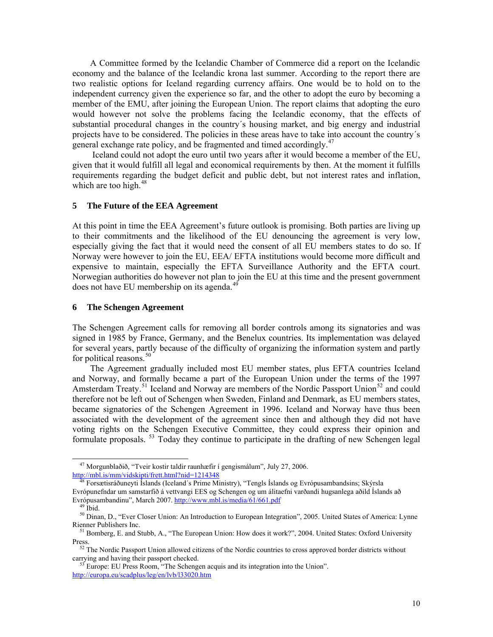A Committee formed by the Icelandic Chamber of Commerce did a report on the Icelandic economy and the balance of the Icelandic krona last summer. According to the report there are two realistic options for Iceland regarding currency affairs. One would be to hold on to the independent currency given the experience so far, and the other to adopt the euro by becoming a member of the EMU, after joining the European Union. The report claims that adopting the euro would however not solve the problems facing the Icelandic economy, that the effects of substantial procedural changes in the country´s housing market, and big energy and industrial projects have to be considered. The policies in these areas have to take into account the country´s general exchange rate policy, and be fragmented and timed accordingly.<sup>[47](#page-9-0)</sup>

 Iceland could not adopt the euro until two years after it would become a member of the EU, given that it would fulfill all legal and economical requirements by then. At the moment it fulfills requirements regarding the budget deficit and public debt, but not interest rates and inflation, which are too high. $48$ 

### **5 The Future of the EEA Agreement**

At this point in time the EEA Agreement's future outlook is promising. Both parties are living up to their commitments and the likelihood of the EU denouncing the agreement is very low, especially giving the fact that it would need the consent of all EU members states to do so. If Norway were however to join the EU, EEA/ EFTA institutions would become more difficult and expensive to maintain, especially the EFTA Surveillance Authority and the EFTA court. Norwegian authorities do however not plan to join the EU at this time and the present government does not have EU membership on its agenda.<sup>4</sup>

### **6 The Schengen Agreement**

The Schengen Agreement calls for removing all border controls among its signatories and was signed in 1985 by France, Germany, and the Benelux countries. Its implementation was delayed for several years, partly because of the difficulty of organizing the information system and partly for political reasons.<sup>[50](#page-9-3)</sup>

 The Agreement gradually included most EU member states, plus EFTA countries Iceland and Norway, and formally became a part of the European Union under the terms of the 1997 Amsterdam Treaty.<sup>[51](#page-9-4)</sup> Iceland and Norway are members of the Nordic Passport Union<sup>[52](#page-9-5)</sup> and could therefore not be left out of Schengen when Sweden, Finland and Denmark, as EU members states, became signatories of the Schengen Agreement in 1996. Iceland and Norway have thus been associated with the development of the agreement since then and although they did not have voting rights on the Schengen Executive Committee, they could express their opinion and formulate proposals.<sup>[53](#page-9-6)</sup> Today they continue to participate in the drafting of new Schengen legal

<span id="page-9-0"></span>47 Morgunblaðið, "Tveir kostir taldir raunhæfir í gengismálum", July 27, 2006. http://mbl.is/mm/vidskipti/frett.html?nid=1214348

<span id="page-9-1"></span>48 Forsætisráðuneyti Íslands (Iceland´s Prime Ministry), "Tengls Íslands og Evrópusambandsins; Skýrsla Evrópunefndar um samstarfið á vettvangi EES og Schengen og um álitaefni varðandi hugsanlega aðild Íslands að Evrópusambandinu", March 2007. <http://www.mbl.is/media/61/661.pdf>

 $49$  Ibid.

<span id="page-9-3"></span><span id="page-9-2"></span><sup>&</sup>lt;sup>50</sup> Dinan, D., "Ever Closer Union: An Introduction to European Integration", 2005. United States of America: Lynne Rienner Publishers Inc.

<span id="page-9-4"></span><sup>&</sup>lt;sup>51</sup> Bomberg, E. and Stubb, A., "The European Union: How does it work?", 2004. United States: Oxford University Press.

<span id="page-9-5"></span><sup>&</sup>lt;sup>52</sup> The Nordic Passport Union allowed citizens of the Nordic countries to cross approved border districts without carrying and having their passport checked.

<span id="page-9-6"></span> $53$  Europe: EU Press Room, "The Schengen acquis and its integration into the Union". <http://europa.eu/scadplus/leg/en/lvb/l33020.htm>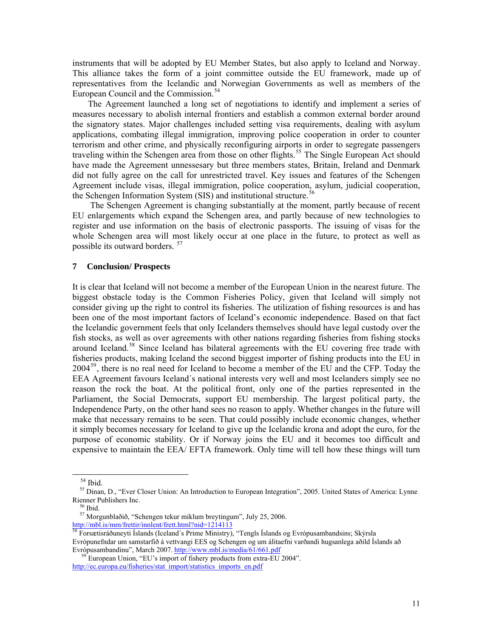instruments that will be adopted by EU Member States, but also apply to Iceland and Norway. This alliance takes the form of a joint committee outside the EU framework, made up of representatives from the Icelandic and Norwegian Governments as well as members of the European Council and the Commission.<sup>[54](#page-10-0)</sup>

 The Agreement launched a long set of negotiations to identify and implement a series of measures necessary to abolish internal frontiers and establish a common external border around the signatory states. Major challenges included setting visa requirements, dealing with asylum applications, combating illegal immigration, improving police cooperation in order to counter terrorism and other crime, and physically reconfiguring airports in order to segregate passengers traveling within the Schengen area from those on other flights.<sup>[55](#page-10-1)</sup> The Single European Act should have made the Agreement unnessesary but three members states, Britain, Ireland and Denmark did not fully agree on the call for unrestricted travel. Key issues and features of the Schengen Agreement include visas, illegal immigration, police cooperation, asylum, judicial cooperation, the Schengen Information System (SIS) and institutional structure.<sup>5</sup>

 The Schengen Agreement is changing substantially at the moment, partly because of recent EU enlargements which expand the Schengen area, and partly because of new technologies to register and use information on the basis of electronic passports. The issuing of visas for the whole Schengen area will most likely occur at one place in the future, to protect as well as possible its outward borders. [57](#page-10-3)

#### **7 Conclusion/ Prospects**

It is clear that Iceland will not become a member of the European Union in the nearest future. The biggest obstacle today is the Common Fisheries Policy, given that Iceland will simply not consider giving up the right to control its fisheries. The utilization of fishing resources is and has been one of the most important factors of Iceland's economic independence. Based on that fact the Icelandic government feels that only Icelanders themselves should have legal custody over the fish stocks, as well as over agreements with other nations regarding fisheries from fishing stocks around Iceland.<sup>[58](#page-10-4)</sup> Since Iceland has bilateral agreements with the EU covering free trade with fisheries products, making Iceland the second biggest importer of fishing products into the EU in  $2004<sup>59</sup>$  $2004<sup>59</sup>$  $2004<sup>59</sup>$ , there is no real need for Iceland to become a member of the EU and the CFP. Today the EEA Agreement favours Iceland´s national interests very well and most Icelanders simply see no reason the rock the boat. At the political front, only one of the parties represented in the Parliament, the Social Democrats, support EU membership. The largest political party, the Independence Party, on the other hand sees no reason to apply. Whether changes in the future will make that necessary remains to be seen. That could possibly include economic changes, whether it simply becomes necessary for Iceland to give up the Icelandic krona and adopt the euro, for the purpose of economic stability. Or if Norway joins the EU and it becomes too difficult and expensive to maintain the EEA/ EFTA framework. Only time will tell how these things will turn

54 Ibid.

<span id="page-10-1"></span><span id="page-10-0"></span>55 Dinan, D., "Ever Closer Union: An Introduction to European Integration", 2005. United States of America: Lynne Rienner Publishers Inc.

 $56$  Ibid.

57 Morgunblaðið, "Schengen tekur miklum breytingum", July 25, 2006.

<span id="page-10-4"></span><span id="page-10-3"></span><span id="page-10-2"></span><http://mbl.is/mm/frettir/innlent/frett.html?nid=1214113><br><sup>58</sup> Forsætisráðuneyti Íslands (Iceland´s Prime Ministry), "Tengls Íslands og Evrópusambandsins; Skýrsla Evrópunefndar um samstarfið á vettvangi EES og Schengen og um álitaefni varðandi hugsanlega aðild Íslands að Evrópusambandinu", March 2007. <http://www.mbl.is/media/61/661.pdf>

<span id="page-10-5"></span>European Union, "EU's import of fishery products from extra-EU 2004". [http://ec.europa.eu/fisheries/stat\\_import/statistics\\_imports\\_en.pdf](http://ec.europa.eu/fisheries/stat_import/statistics_imports_en.pdf)